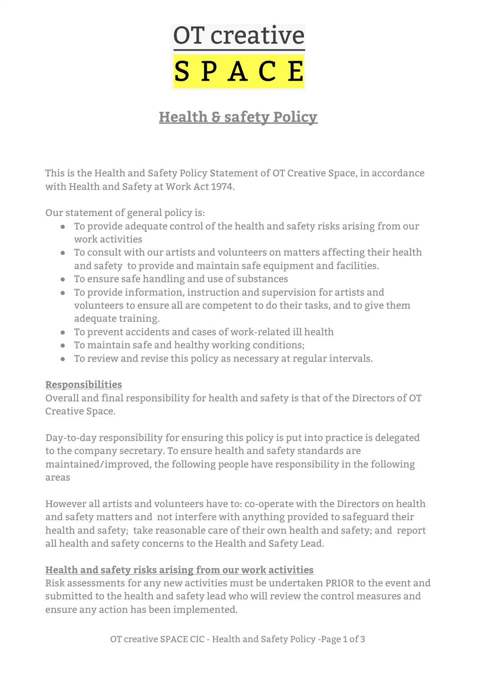# OT creative SPACE

# **Health & safety Policy**

This is the Health and Safety Policy Statement of OT Creative Space, in accordance with Health and Safety at Work Act 1974.

Our statement of general policy is:

- To provide adequate control of the health and safety risks arising from our work activities
- To consult with our artists and volunteers on matters affecting their health and safety to provide and maintain safe equipment and facilities.
- To ensure safe handling and use of substances
- To provide information, instruction and supervision for artists and volunteers to ensure all are competent to do their tasks, and to give them adequate training.
- To prevent accidents and cases of work-related ill health
- To maintain safe and healthy working conditions;
- To review and revise this policy as necessary at regular intervals.

#### **Responsibilities**

Overall and final responsibility for health and safety is that of the Directors of OT Creative Space.

Day-to-day responsibility for ensuring this policy is put into practice is delegated to the company secretary. To ensure health and safety standards are maintained/improved, the following people have responsibility in the following areas

However all artists and volunteers have to: co-operate with the Directors on health and safety matters and not interfere with anything provided to safeguard their health and safety; take reasonable care of their own health and safety; and report all health and safety concerns to the Health and Safety Lead.

#### **Health and safety risks arising from our work activities**

Risk assessments for any new activities must be undertaken PRIOR to the event and submitted to the health and safety lead who will review the control measures and ensure any action has been implemented.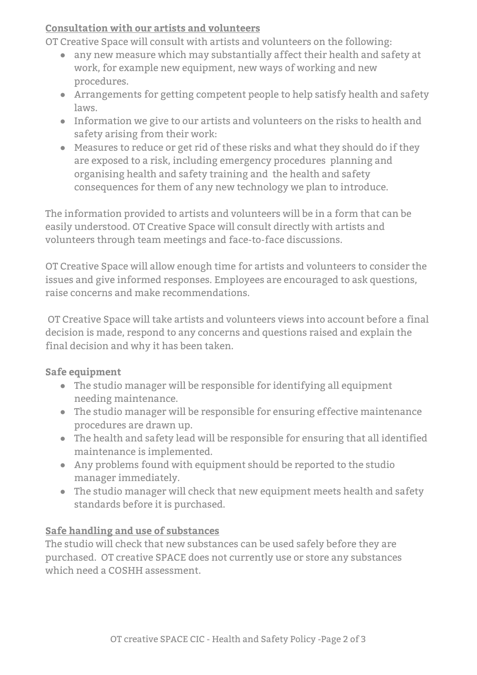#### **Consultation with our artists and volunteers**

OT Creative Space will consult with artists and volunteers on the following:

- any new measure which may substantially affect their health and safety at work, for example new equipment, new ways of working and new procedures.
- Arrangements for getting competent people to help satisfy health and safety laws.
- Information we give to our artists and volunteers on the risks to health and safety arising from their work:
- Measures to reduce or get rid of these risks and what they should do if they are exposed to a risk, including emergency procedures planning and organising health and safety training and the health and safety consequences for them of any new technology we plan to introduce.

The information provided to artists and volunteers will be in a form that can be easily understood. OT Creative Space will consult directly with artists and volunteers through team meetings and face-to-face discussions.

OT Creative Space will allow enough time for artists and volunteers to consider the issues and give informed responses. Employees are encouraged to ask questions, raise concerns and make recommendations.

OT Creative Space will take artists and volunteers views into account before a final decision is made, respond to any concerns and questions raised and explain the final decision and why it has been taken.

# **Safe equipment**

- The studio manager will be responsible for identifying all equipment needing maintenance.
- The studio manager will be responsible for ensuring effective maintenance procedures are drawn up.
- The health and safety lead will be responsible for ensuring that all identified maintenance is implemented.
- Any problems found with equipment should be reported to the studio manager immediately.
- The studio manager will check that new equipment meets health and safety standards before it is purchased.

# **Safe handling and use of substances**

The studio will check that new substances can be used safely before they are purchased. OT creative SPACE does not currently use or store any substances which need a COSHH assessment.